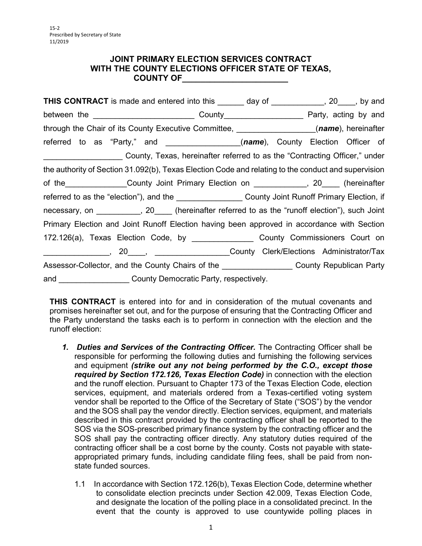#### **JOINT PRIMARY ELECTION SERVICES CONTRACT WITH THE COUNTY ELECTIONS OFFICER STATE OF TEXAS, COUNTY OF\_\_\_\_\_\_\_\_\_\_\_\_\_\_\_\_\_\_\_\_\_\_\_**

| <b>THIS CONTRACT</b> is made and entered into this _______ day of ___________, 20____, by and        |  |  |  |
|------------------------------------------------------------------------------------------------------|--|--|--|
|                                                                                                      |  |  |  |
| through the Chair of its County Executive Committee, _________________(name), hereinafter            |  |  |  |
| referred to as "Party," and ___________________(name), County Election Officer of                    |  |  |  |
| County, Texas, hereinafter referred to as the "Contracting Officer," under                           |  |  |  |
| the authority of Section 31.092(b), Texas Election Code and relating to the conduct and supervision  |  |  |  |
| of the________________County Joint Primary Election on _____________, 20_____ (hereinafter           |  |  |  |
| referred to as the "election"), and the ____________________County Joint Runoff Primary Election, if |  |  |  |
| necessary, on __________, 20____ (hereinafter referred to as the "runoff election"), such Joint      |  |  |  |
| Primary Election and Joint Runoff Election having been approved in accordance with Section           |  |  |  |
| 172.126(a), Texas Election Code, by __________________ County Commissioners Court on                 |  |  |  |
|                                                                                                      |  |  |  |
| Assessor-Collector, and the County Chairs of the _____________________County Republican Party        |  |  |  |
| and ______________________County Democratic Party, respectively.                                     |  |  |  |

 promises hereinafter set out, and for the purpose of ensuring that the Contracting Officer and the Party understand the tasks each is to perform in connection with the election and the **THIS CONTRACT** is entered into for and in consideration of the mutual covenants and runoff election:

- and equipment *(strike out any not being performed by the C.O., except those*  services, equipment, and materials ordered from a Texas-certified voting system described in this contract provided by the contracting officer shall be reported to the SOS via the SOS-prescribed primary finance system by the contracting officer and the SOS shall pay the contracting officer directly. Any statutory duties required of the *1. Duties and Services of the Contracting Officer.* The Contracting Officer shall be responsible for performing the following duties and furnishing the following services required by Section 172.126, Texas Election Code) in connection with the election and the runoff election. Pursuant to Chapter 173 of the Texas Election Code, election vendor shall be reported to the Office of the Secretary of State ("SOS") by the vendor and the SOS shall pay the vendor directly. Election services, equipment, and materials contracting officer shall be a cost borne by the county. Costs not payable with stateappropriated primary funds, including candidate filing fees, shall be paid from nonstate funded sources.
	- $1.1$ In accordance with Section 172.126(b), Texas Election Code, determine whether to consolidate election precincts under Section 42.009, Texas Election Code, and designate the location of the polling place in a consolidated precinct. In the event that the county is approved to use countywide polling places in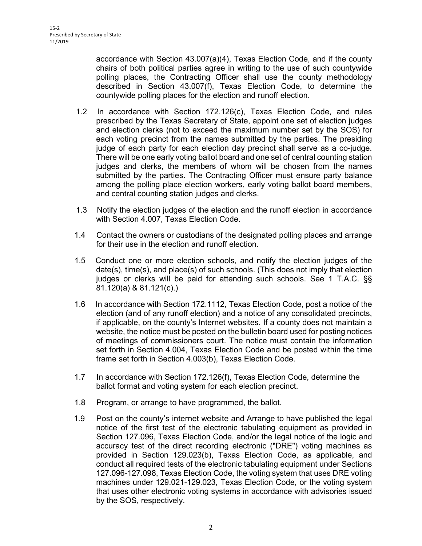accordance with Section 43.007(a)(4), Texas Election Code, and if the county chairs of both political parties agree in writing to the use of such countywide polling places, the Contracting Officer shall use the county methodology described in Section 43.007(f), Texas Election Code, to determine the countywide polling places for the election and runoff election.

- prescribed by the Texas Secretary of State, appoint one set of election judges and election clerks (not to exceed the maximum number set by the SOS) for each voting precinct from the names submitted by the parties. The presiding judge of each party for each election day precinct shall serve as a co-judge. judges and clerks, the members of whom will be chosen from the names submitted by the parties. The Contracting Officer must ensure party balance 1.2 In accordance with Section 172.126(c), Texas Election Code, and rules There will be one early voting ballot board and one set of central counting station among the polling place election workers, early voting ballot board members, and central counting station judges and clerks.
- $1.3$ Notify the election judges of the election and the runoff election in accordance with Section 4.007, Texas Election Code.
- $1.4$ Contact the owners or custodians of the designated polling places and arrange for their use in the election and runoff election.
- date(s), time(s), and place(s) of such schools. (This does not imply that election judges or clerks will be paid for attending such schools. See 1 T.A.C. §§ 1.5 Conduct one or more election schools, and notify the election judges of the 81.120(a) & 81.121(c).)
- $1.6$  if applicable, on the county's Internet websites. If a county does not maintain a of meetings of commissioners court. The notice must contain the information set forth in Section 4.004, Texas Election Code and be posted within the time In accordance with Section 172.1112, Texas Election Code, post a notice of the election (and of any runoff election) and a notice of any consolidated precincts, website, the notice must be posted on the bulletin board used for posting notices frame set forth in Section 4.003(b), Texas Election Code.
- $17$ In accordance with Section 172.126(f), Texas Election Code, determine the ballot format and voting system for each election precinct.
- 1.8 Program, or arrange to have programmed, the ballot.
- notice of the first test of the electronic tabulating equipment as provided in Section 127.096, Texas Election Code, and/or the legal notice of the logic and accuracy test of the direct recording electronic ("DRE") voting machines as conduct all required tests of the electronic tabulating equipment under Sections by the SOS, respectively. 1.9 Post on the county's internet website and Arrange to have published the legal provided in Section 129.023(b), Texas Election Code, as applicable, and 127.096-127.098, Texas Election Code, the voting system that uses DRE voting machines under 129.021-129.023, Texas Election Code, or the voting system that uses other electronic voting systems in accordance with advisories issued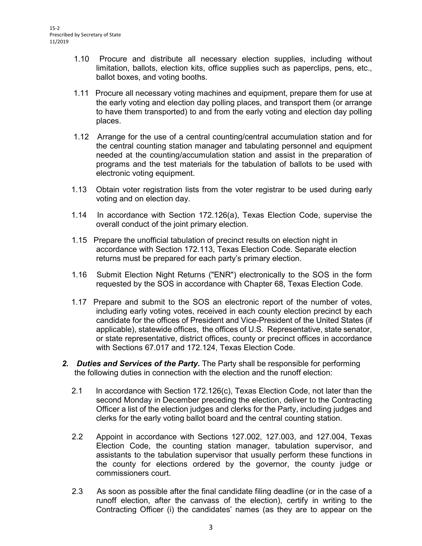- limitation, ballots, election kits, office supplies such as paperclips, pens, etc., 1.10 Procure and distribute all necessary election supplies, including without ballot boxes, and voting booths.
- 1.11 Procure all necessary voting machines and equipment, prepare them for use at the early voting and election day polling places, and transport them (or arrange to have them transported) to and from the early voting and election day polling places.
- 1.12 Arrange for the use of a central counting/central accumulation station and for programs and the test materials for the tabulation of ballots to be used with the central counting station manager and tabulating personnel and equipment needed at the counting/accumulation station and assist in the preparation of electronic voting equipment.
- 1.13 Obtain voter registration lists from the voter registrar to be used during early voting and on election day.
- 1.14 In accordance with Section 172.126(a), Texas Election Code, supervise the overall conduct of the joint primary election.
- 1.15 Prepare the unofficial tabulation of precinct results on election night in accordance with Section 172.113, Texas Election Code. Separate election returns must be prepared for each party's primary election.
- $1.16$ 1.16 Submit Election Night Returns ("ENR") electronically to the SOS in the form requested by the SOS in accordance with Chapter 68, Texas Election Code.
- candidate for the offices of President and Vice-President of the United States (if applicable), statewide offices, the offices of U.S. Representative, state senator, 1.17 Prepare and submit to the SOS an electronic report of the number of votes, including early voting votes, received in each county election precinct by each or state representative, district offices, county or precinct offices in accordance with Sections 67.017 and 172.124, Texas Election Code.
- *2. Duties and Services of the Party.* The Party shall be responsible for performing the following duties in connection with the election and the runoff election:
	- 2.1 In accordance with Section 172.126(c), Texas Election Code, not later than the second Monday in December preceding the election, deliver to the Contracting Officer a list of the election judges and clerks for the Party, including judges and clerks for the early voting ballot board and the central counting station.
	- the county for elections ordered by the governor, the county judge or 2.2 Appoint in accordance with Sections 127.002, 127.003, and 127.004, Texas Election Code, the counting station manager, tabulation supervisor, and assistants to the tabulation supervisor that usually perform these functions in commissioners court.
	- Contracting Officer (i) the candidates' names (as they are to appear on the 2.3 As soon as possible after the final candidate filing deadline (or in the case of a runoff election, after the canvass of the election), certify in writing to the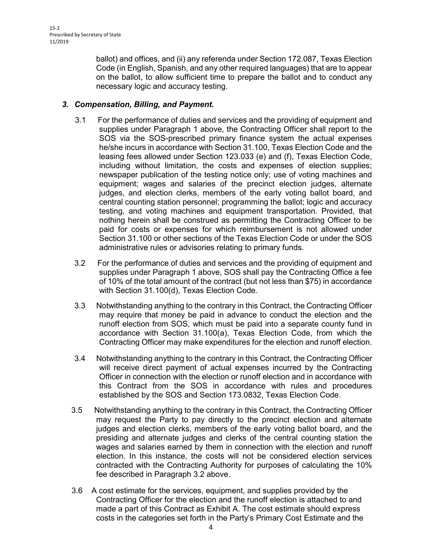ballot) and offices, and (ii) any referenda under Section 172.087, Texas Election Code (in English, Spanish, and any other required languages) that are to appear on the ballot, to allow sufficient time to prepare the ballot and to conduct any necessary logic and accuracy testing.

## *3. Compensation, Billing, and Payment.*

- supplies under Paragraph 1 above, the Contracting Officer shall report to the leasing fees allowed under Section 123.033 (e) and (f), Texas Election Code, including without limitation, the costs and expenses of election supplies; newspaper publication of the testing notice only; use of voting machines and equipment; wages and salaries of the precinct election judges, alternate Section 31.100 or other sections of the Texas Election Code or under the SOS administrative rules or advisories relating to primary funds. 3.1 For the performance of duties and services and the providing of equipment and SOS via the SOS-prescribed primary finance system the actual expenses he/she incurs in accordance with Section 31.100, Texas Election Code and the judges, and election clerks, members of the early voting ballot board, and central counting station personnel; programming the ballot; logic and accuracy testing, and voting machines and equipment transportation. Provided, that nothing herein shall be construed as permitting the Contracting Officer to be paid for costs or expenses for which reimbursement is not allowed under
- $3.2$  supplies under Paragraph 1 above, SOS shall pay the Contracting Office a fee of 10% of the total amount of the contract (but not less than \$75) in accordance 3.2 For the performance of duties and services and the providing of equipment and with Section 31.100(d), Texas Election Code.
- may require that money be paid in advance to conduct the election and the runoff election from SOS, which must be paid into a separate county fund in Contracting Officer may make expenditures for the election and runoff election. 3.3 Notwithstanding anything to the contrary in this Contract, the Contracting Officer accordance with Section 31.100(a), Texas Election Code, from which the
- will receive direct payment of actual expenses incurred by the Contracting Officer in connection with the election or runoff election and in accordance with this Contract from the SOS in accordance with rules and procedures 3.4 Notwithstanding anything to the contrary in this Contract, the Contracting Officer established by the SOS and Section 173.0832, Texas Election Code.
- $3.5$  wages and salaries earned by them in connection with the election and runoff Notwithstanding anything to the contrary in this Contract, the Contracting Officer may request the Party to pay directly to the precinct election and alternate judges and election clerks, members of the early voting ballot board, and the presiding and alternate judges and clerks of the central counting station the election. In this instance, the costs will not be considered election services contracted with the Contracting Authority for purposes of calculating the 10% fee described in Paragraph 3.2 above.
- 3.6 A cost estimate for the services, equipment, and supplies provided by the Contracting Officer for the election and the runoff election is attached to and made a part of this Contract as Exhibit A. The cost estimate should express costs in the categories set forth in the Party's Primary Cost Estimate and the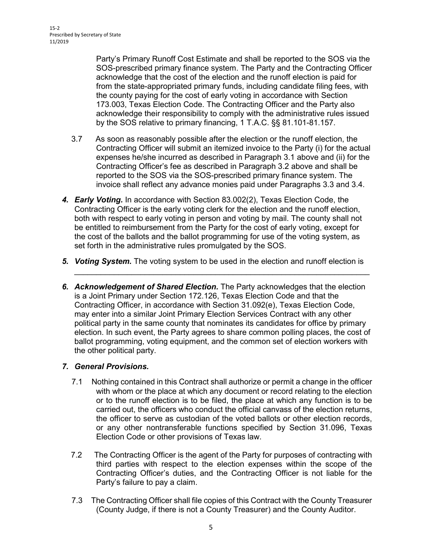Party's Primary Runoff Cost Estimate and shall be reported to the SOS via the SOS-prescribed primary finance system. The Party and the Contracting Officer acknowledge that the cost of the election and the runoff election is paid for from the state-appropriated primary funds, including candidate filing fees, with the county paying for the cost of early voting in accordance with Section 173.003, Texas Election Code. The Contracting Officer and the Party also acknowledge their responsibility to comply with the administrative rules issued by the SOS relative to primary financing, 1 T.A.C. §§ 81.101-81.157.

- Contracting Officer will submit an itemized invoice to the Party (i) for the actual 3.7 As soon as reasonably possible after the election or the runoff election, the expenses he/she incurred as described in Paragraph 3.1 above and (ii) for the Contracting Officer's fee as described in Paragraph 3.2 above and shall be reported to the SOS via the SOS-prescribed primary finance system. The invoice shall reflect any advance monies paid under Paragraphs 3.3 and 3.4.
- be entitled to reimbursement from the Party for the cost of early voting, except for *4. Early Voting.* In accordance with Section 83.002(2), Texas Election Code, the Contracting Officer is the early voting clerk for the election and the runoff election, both with respect to early voting in person and voting by mail. The county shall not the cost of the ballots and the ballot programming for use of the voting system, as set forth in the administrative rules promulgated by the SOS.
- 5. Voting System. The voting system to be used in the election and runoff election is

\_\_\_\_\_\_\_\_\_\_\_\_\_\_\_\_\_\_\_\_\_\_\_\_\_\_\_\_\_\_\_\_\_\_\_\_\_\_\_\_\_\_\_\_\_\_\_\_\_\_\_\_\_\_\_\_\_\_\_\_\_\_\_\_\_\_\_

**6. Acknowledgement of Shared Election.** The Party acknowledges that the election is a Joint Primary under Section 172.126, Texas Election Code and that the Contracting Officer, in accordance with Section 31.092(e), Texas Election Code, may enter into a similar Joint Primary Election Services Contract with any other political party in the same county that nominates its candidates for office by primary election. In such event, the Party agrees to share common polling places, the cost of ballot programming, voting equipment, and the common set of election workers with the other political party.

### *7. General Provisions.*

- $7.1$  with whom or the place at which any document or record relating to the election the officer to serve as custodian of the voted ballots or other election records, Election Code or other provisions of Texas law. Nothing contained in this Contract shall authorize or permit a change in the officer or to the runoff election is to be filed, the place at which any function is to be carried out, the officers who conduct the official canvass of the election returns, or any other nontransferable functions specified by Section 31.096, Texas
- third parties with respect to the election expenses within the scope of the Contracting Officer's duties, and the Contracting Officer is not liable for the 7.2 The Contracting Officer is the agent of the Party for purposes of contracting with Party's failure to pay a claim.
- 7.3 The Contracting Officer shall file copies of this Contract with the County Treasurer (County Judge, if there is not a County Treasurer) and the County Auditor.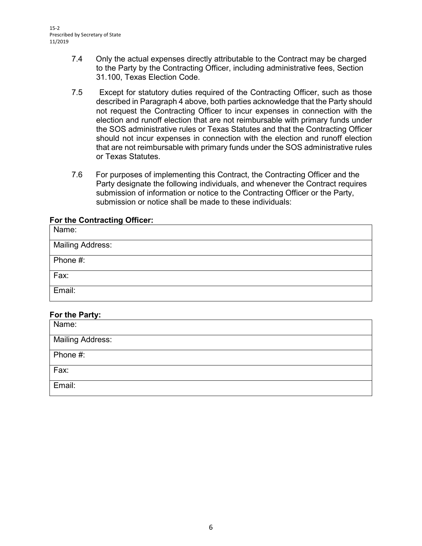- 7.4 Only the actual expenses directly attributable to the Contract may be charged to the Party by the Contracting Officer, including administrative fees, Section 31.100, Texas Election Code.
- 7.5 Except for statutory duties required of the Contracting Officer, such as those described in Paragraph 4 above, both parties acknowledge that the Party should not request the Contracting Officer to incur expenses in connection with the election and runoff election that are not reimbursable with primary funds under the SOS administrative rules or Texas Statutes and that the Contracting Officer should not incur expenses in connection with the election and runoff election that are not reimbursable with primary funds under the SOS administrative rules or Texas Statutes.
- 7.6 For purposes of implementing this Contract, the Contracting Officer and the Party designate the following individuals, and whenever the Contract requires submission of information or notice to the Contracting Officer or the Party, submission or notice shall be made to these individuals:

### **For the Contracting Officer:**

| Name:                   |
|-------------------------|
| <b>Mailing Address:</b> |
| Phone #:                |
| Fax:                    |
| Email:                  |

### **For the Party:**

| Name:            |
|------------------|
| Mailing Address: |
| Phone #:         |
| Fax:             |
| Email:           |